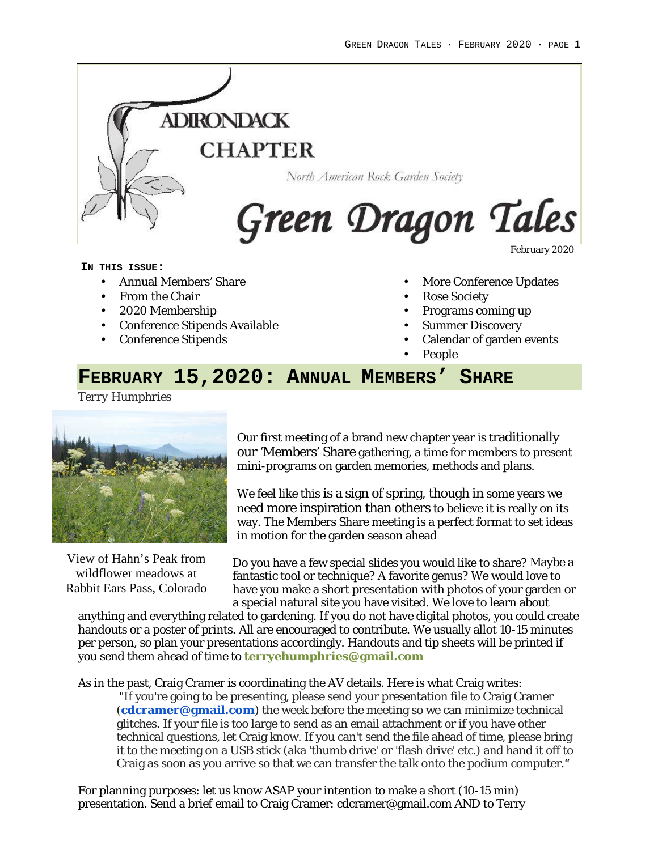

#### **IN THIS ISSUE:**

- Annual Members' Share
- From the Chair
- 2020 Membership
- Conference Stipends Available
- Conference Stipends
- More Conference Updates
- Rose Society
- Programs coming up
- Summer Discovery
- Calendar of garden events
- People

# **FEBRUARY 15,2020: ANNUAL MEMBERS' SHARE**

*Terry Humphries*



View of Hahn's Peak from wildflower meadows at Rabbit Ears Pass, Colorado Our first meeting of a brand new chapter year is traditionally our 'Members' Share gathering, a time for members to present mini-programs on garden memories, methods and plans.

We feel like this is a sign of spring, though in some years we need more inspiration than others to believe it is really on its way. The Members Share meeting is a perfect format to set ideas in motion for the garden season ahead

Do you have a few special slides you would like to share? Maybe a fantastic tool or technique? A favorite genus? We would love to have you make a short presentation with photos of your garden or a special natural site you have visited. We love to learn about

anything and everything related to gardening. If you do not have digital photos, you could create handouts or a poster of prints. All are encouraged to contribute. We usually allot 10-15 minutes per person, so plan your presentations accordingly. Handouts and tip sheets will be printed if you send them ahead of time to **terryehumphries@gmail.com**

As in the past, Craig Cramer is coordinating the AV details. Here is what Craig writes: "If you're going to be presenting, please send your presentation file to Craig Cramer (**cdcramer@gmail.com**) the week before the meeting so we can minimize technical glitches. If your file is too large to send as an email attachment or if you have other technical questions, let Craig know. If you can't send the file ahead of time, please bring it to the meeting on a USB stick (aka 'thumb drive' or 'flash drive' etc.) and hand it off to Craig as soon as you arrive so that we can transfer the talk onto the podium computer."

For planning purposes: let us know ASAP your intention to make a short (10-15 min) presentation. Send a brief email to Craig Cramer: cdcramer@gmail.com AND to Terry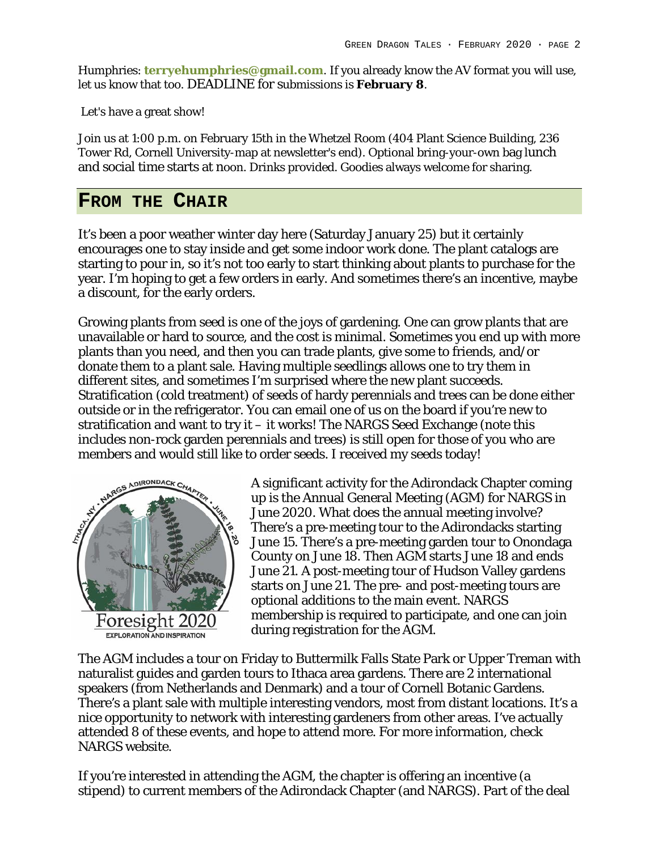Humphries: **terryehumphries@gmail.com**. If you already know the AV format you will use, let us know that too. DEADLINE for submissions is **February 8**.

Let's have a great show!

Join us at 1:00 p.m. on February 15th in the Whetzel Room (404 Plant Science Building, 236 Tower Rd, Cornell University-map at newsletter's end). Optional bring-your-own bag lunch and social time starts at noon. Drinks provided. Goodies always welcome for sharing.

# **FROM THE CHAIR**

It's been a poor weather winter day here (Saturday January 25) but it certainly encourages one to stay inside and get some indoor work done. The plant catalogs are starting to pour in, so it's not too early to start thinking about plants to purchase for the year. I'm hoping to get a few orders in early. And sometimes there's an incentive, maybe a discount, for the early orders.

Growing plants from seed is one of the joys of gardening. One can grow plants that are unavailable or hard to source, and the cost is minimal. Sometimes you end up with more plants than you need, and then you can trade plants, give some to friends, and/or donate them to a plant sale. Having multiple seedlings allows one to try them in different sites, and sometimes I'm surprised where the new plant succeeds. Stratification (cold treatment) of seeds of hardy perennials and trees can be done either outside or in the refrigerator. You can email one of us on the board if you're new to stratification and want to try it – it works! The NARGS Seed Exchange (note this includes non-rock garden perennials and trees) is still open for those of you who are members and would still like to order seeds. I received my seeds today!



A significant activity for the Adirondack Chapter coming up is the Annual General Meeting (AGM) for NARGS in June 2020. What does the annual meeting involve? There's a pre-meeting tour to the Adirondacks starting June 15. There's a pre-meeting garden tour to Onondaga County on June 18. Then AGM starts June 18 and ends June 21. A post-meeting tour of Hudson Valley gardens starts on June 21. The pre- and post-meeting tours are optional additions to the main event. NARGS membership is required to participate, and one can join during registration for the AGM.

The AGM includes a tour on Friday to Buttermilk Falls State Park or Upper Treman with naturalist guides and garden tours to Ithaca area gardens. There are 2 international speakers (from Netherlands and Denmark) and a tour of Cornell Botanic Gardens. There's a plant sale with multiple interesting vendors, most from distant locations. It's a nice opportunity to network with interesting gardeners from other areas. I've actually attended 8 of these events, and hope to attend more. For more information, check NARGS website.

If you're interested in attending the AGM, the chapter is offering an incentive (a stipend) to current members of the Adirondack Chapter (and NARGS). Part of the deal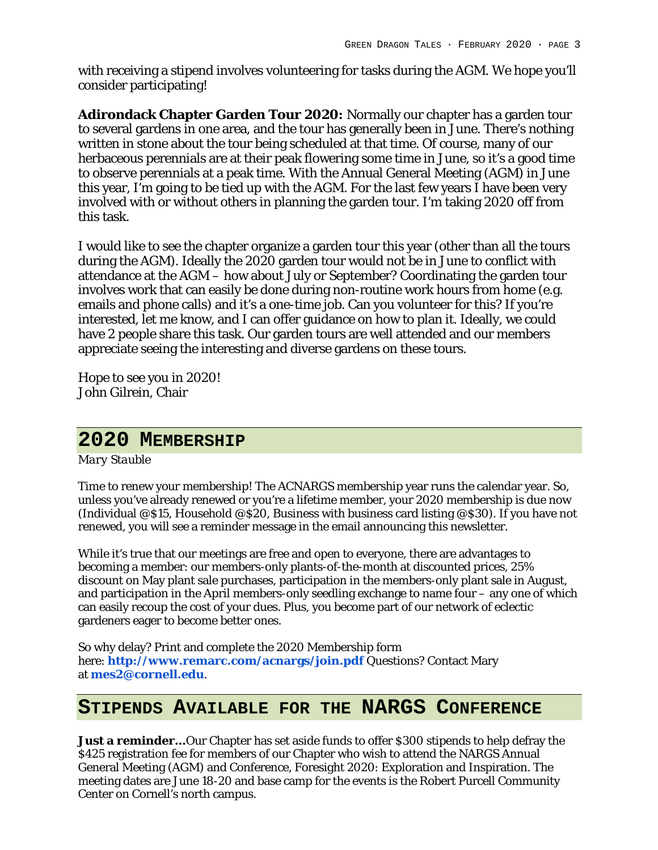with receiving a stipend involves volunteering for tasks during the AGM. We hope you'll consider participating!

**Adirondack Chapter Garden Tour 2020:** Normally our chapter has a garden tour to several gardens in one area, and the tour has generally been in June. There's nothing written in stone about the tour being scheduled at that time. Of course, many of our herbaceous perennials are at their peak flowering some time in June, so it's a good time to observe perennials at a peak time. With the Annual General Meeting (AGM) in June this year, I'm going to be tied up with the AGM. For the last few years I have been very involved with or without others in planning the garden tour. I'm taking 2020 off from this task.

I would like to see the chapter organize a garden tour this year (other than all the tours during the AGM). Ideally the 2020 garden tour would not be in June to conflict with attendance at the AGM – how about July or September? Coordinating the garden tour involves work that can easily be done during non-routine work hours from home (e.g. emails and phone calls) and it's a one-time job. Can you volunteer for this? If you're interested, let me know, and I can offer guidance on how to plan it. Ideally, we could have 2 people share this task. Our garden tours are well attended and our members appreciate seeing the interesting and diverse gardens on these tours.

Hope to see you in 2020! John Gilrein, Chair

# **2020 MEMBERSHIP**

*Mary Stauble*

Time to renew your membership! The ACNARGS membership year runs the calendar year. So, unless you've already renewed or you're a lifetime member, your 2020 membership is due now (Individual @\$15, Household @\$20, Business with business card listing @\$30). If you have not renewed, you will see a reminder message in the email announcing this newsletter.

While it's true that our meetings are free and open to everyone, there are advantages to becoming a member: our members-only plants-of-the-month at discounted prices, 25% discount on May plant sale purchases, participation in the members-only plant sale in August, and participation in the April members-only seedling exchange to name four – any one of which can easily recoup the cost of your dues. Plus, you become part of our network of eclectic gardeners eager to become better ones.

So why delay? Print and complete the 2020 Membership form here: **http://www.remarc.com/acnargs/join.pdf** Questions? Contact Mary at **mes2@cornell.edu**.

# **STIPENDS AVAILABLE FOR THE NARGS CONFERENCE**

**Just a reminder…**Our Chapter has set aside funds to offer \$300 stipends to help defray the \$425 registration fee for members of our Chapter who wish to attend the NARGS Annual General Meeting (AGM) and Conference, Foresight 2020: Exploration and Inspiration. The meeting dates are June 18-20 and base camp for the events is the Robert Purcell Community Center on Cornell's north campus.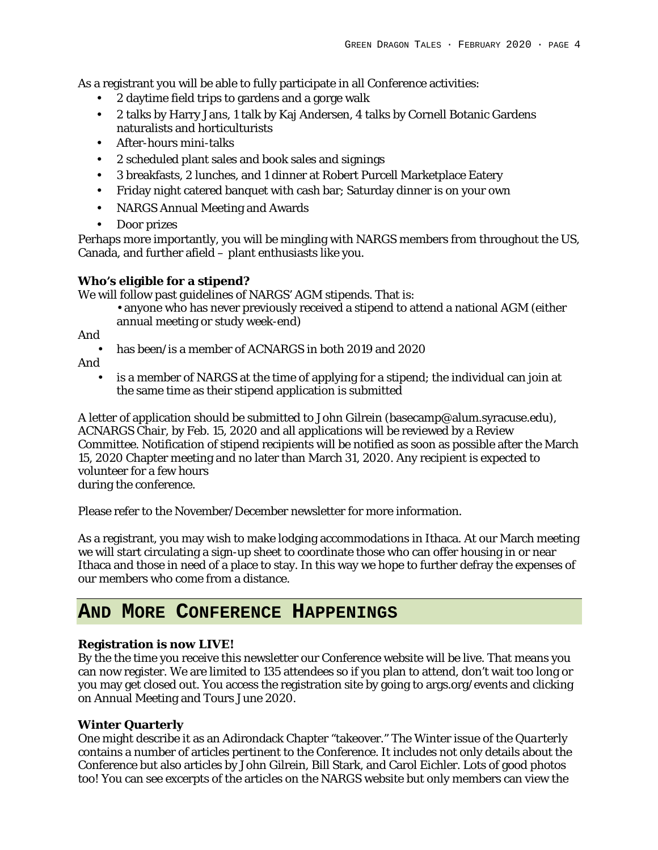As a registrant you will be able to fully participate in all Conference activities:

- 2 daytime field trips to gardens and a gorge walk
- 2 talks by Harry Jans, 1 talk by Kaj Andersen, 4 talks by Cornell Botanic Gardens naturalists and horticulturists
- After-hours mini-talks
- 2 scheduled plant sales and book sales and signings
- 3 breakfasts, 2 lunches, and 1 dinner at Robert Purcell Marketplace Eatery
- Friday night catered banquet with cash bar; Saturday dinner is on your own
- NARGS Annual Meeting and Awards
- Door prizes

Perhaps more importantly, you will be mingling with NARGS members from throughout the US, Canada, and further afield – plant enthusiasts like you.

## **Who's eligible for a stipend?**

We will follow past guidelines of NARGS' AGM stipends. That is:

• anyone who has never previously received a stipend to attend a national AGM (either annual meeting or study week-end)

And

• has been/is a member of ACNARGS in both 2019 and 2020

And

• is a member of NARGS at the time of applying for a stipend; the individual can join at the same time as their stipend application is submitted

A letter of application should be submitted to John Gilrein (basecamp@alum.syracuse.edu), ACNARGS Chair, by Feb. 15, 2020 and all applications will be reviewed by a Review Committee. Notification of stipend recipients will be notified as soon as possible after the March 15, 2020 Chapter meeting and no later than March 31, 2020. Any recipient is expected to volunteer for a few hours during the conference.

Please refer to the November/December newsletter for more information.

As a registrant, you may wish to make lodging accommodations in Ithaca. At our March meeting we will start circulating a sign-up sheet to coordinate those who can offer housing in or near Ithaca and those in need of a place to stay. In this way we hope to further defray the expenses of our members who come from a distance.

# **AND MORE CONFERENCE HAPPENINGS**

# **Registration is now LIVE!**

By the the time you receive this newsletter our Conference website will be live. That means you can now register. We are limited to 135 attendees so if you plan to attend, don't wait too long or you may get closed out. You access the registration site by going to args.org/events and clicking on Annual Meeting and Tours June 2020.

# **Winter Quarterly**

One might describe it as an Adirondack Chapter "takeover." The Winter issue of the *Quarterly* contains a number of articles pertinent to the Conference. It includes not only details about the Conference but also articles by John Gilrein, Bill Stark, and Carol Eichler. Lots of good photos too! You can see excerpts of the articles on the NARGS website but only members can view the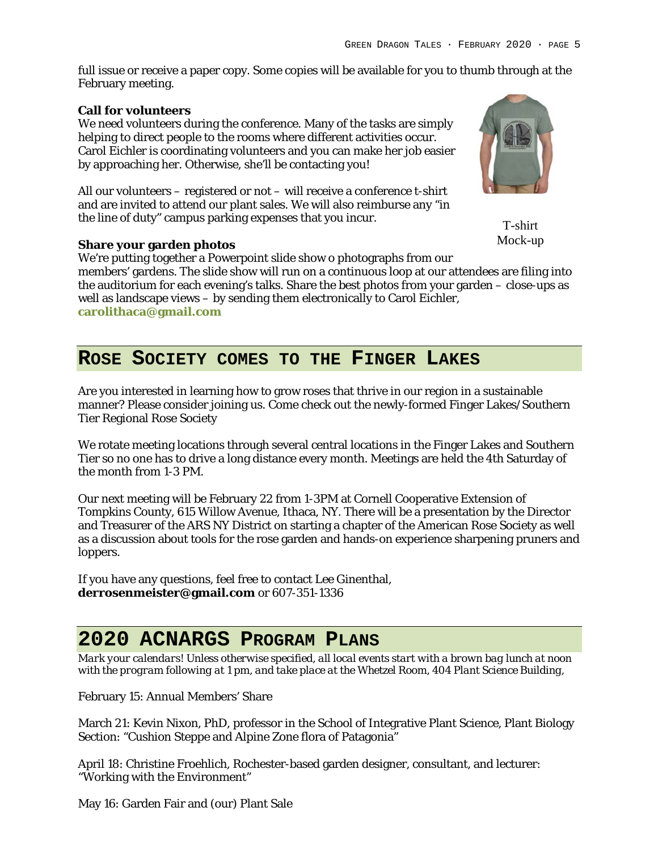full issue or receive a paper copy. Some copies will be available for you to thumb through at the February meeting.

#### **Call for volunteers**

We need volunteers during the conference. Many of the tasks are simply helping to direct people to the rooms where different activities occur. Carol Eichler is coordinating volunteers and you can make her job easier by approaching her. Otherwise, she'll be contacting you!

All our volunteers – registered or not – will receive a conference t-shirt and are invited to attend our plant sales. We will also reimburse any "in the line of duty" campus parking expenses that you incur.

T-shirt Mock-up

## **Share your garden photos**

We're putting together a Powerpoint slide show o photographs from our members' gardens. The slide show will run on a continuous loop at our attendees are filing into the auditorium for each evening's talks. Share the best photos from your garden – close-ups as well as landscape views – by sending them electronically to Carol Eichler, **carolithaca@gmail.com**

# **ROSE SOCIETY COMES TO THE FINGER LAKES**

Are you interested in learning how to grow roses that thrive in our region in a sustainable manner? Please consider joining us. Come check out the newly-formed Finger Lakes/Southern Tier Regional Rose Society

We rotate meeting locations through several central locations in the Finger Lakes and Southern Tier so no one has to drive a long distance every month. Meetings are held the 4th Saturday of the month from 1-3 PM.

Our next meeting will be February 22 from 1-3PM at Cornell Cooperative Extension of Tompkins County, 615 Willow Avenue, Ithaca, NY. There will be a presentation by the Director and Treasurer of the ARS NY District on starting a chapter of the American Rose Society as well as a discussion about tools for the rose garden and hands-on experience sharpening pruners and loppers.

If you have any questions, feel free to contact Lee Ginenthal, **derrosenmeister@gmail.com** or 607-351-1336

# **2020 ACNARGS PROGRAM PLANS**

*Mark your calendars! Unless otherwise specified, all local events start with a brown bag lunch at noon with the program following at 1 pm, and take place at the Whetzel Room, 404 Plant Science Building,*

February 15: Annual Members' Share

March 21: Kevin Nixon, PhD, professor in the School of Integrative Plant Science, Plant Biology Section: "Cushion Steppe and Alpine Zone flora of Patagonia"

April 18: Christine Froehlich, Rochester-based garden designer, consultant, and lecturer: "Working with the Environment"

May 16: Garden Fair and (our) Plant Sale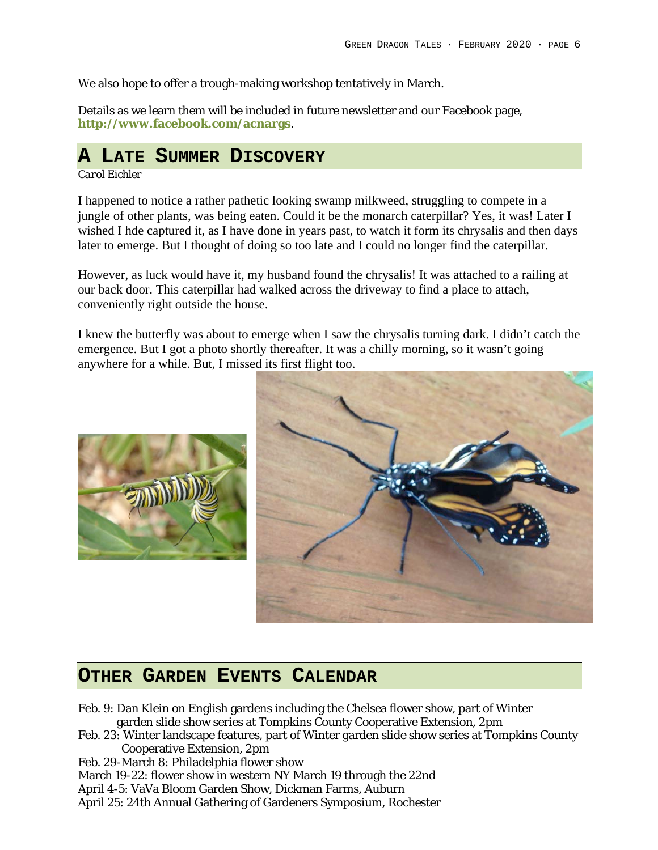We also hope to offer a trough-making workshop tentatively in March.

Details as we learn them will be included in future newsletter and our Facebook page, **http://www.facebook.com/acnargs**.

# **A LATE SUMMER DISCOVERY**

## *Carol Eichler*

I happened to notice a rather pathetic looking swamp milkweed, struggling to compete in a jungle of other plants, was being eaten. Could it be the monarch caterpillar? Yes, it was! Later I wished I hde captured it, as I have done in years past, to watch it form its chrysalis and then days later to emerge. But I thought of doing so too late and I could no longer find the caterpillar.

However, as luck would have it, my husband found the chrysalis! It was attached to a railing at our back door. This caterpillar had walked across the driveway to find a place to attach, conveniently right outside the house.

I knew the butterfly was about to emerge when I saw the chrysalis turning dark. I didn't catch the emergence. But I got a photo shortly thereafter. It was a chilly morning, so it wasn't going anywhere for a while. But, I missed its first flight too.





# **OTHER GARDEN EVENTS CALENDAR**

- Feb. 9: Dan Klein on English gardens including the Chelsea flower show, part of Winter garden slide show series at Tompkins County Cooperative Extension, 2pm
- Feb. 23: Winter landscape features, part of Winter garden slide show series at Tompkins County Cooperative Extension, 2pm

Feb. 29-March 8: Philadelphia flower show

March 19-22: flower show in western NY March 19 through the 22nd

April 4-5: VaVa Bloom Garden Show, Dickman Farms, Auburn

April 25: 24th Annual Gathering of Gardeners Symposium, Rochester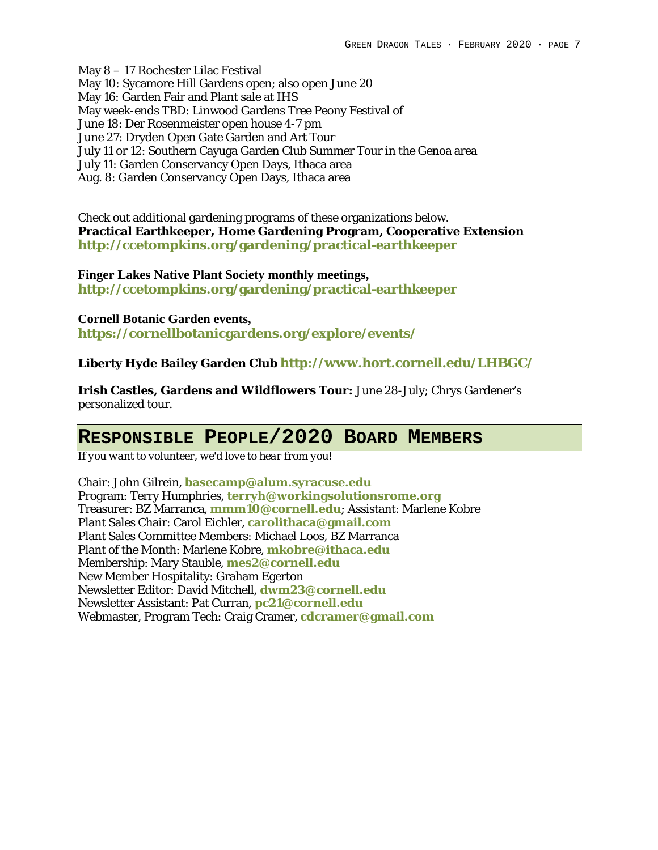May 8 – 17 Rochester Lilac Festival May 10: Sycamore Hill Gardens open; also open June 20 May 16: Garden Fair and Plant sale at IHS May week-ends TBD: Linwood Gardens Tree Peony Festival of June 18: Der Rosenmeister open house 4-7 pm June 27: Dryden Open Gate Garden and Art Tour July 11 or 12: Southern Cayuga Garden Club Summer Tour in the Genoa area July 11: Garden Conservancy Open Days, Ithaca area Aug. 8: Garden Conservancy Open Days, Ithaca area

Check out additional gardening programs of these organizations below. **Practical Earthkeeper, Home Gardening Program, Cooperative Extension http://ccetompkins.org/gardening/practical-earthkeeper**

#### **Finger Lakes Native Plant Society monthly meetings,**

**http://ccetompkins.org/gardening/practical-earthkeeper**

#### **Cornell Botanic Garden events,**

**https://cornellbotanicgardens.org/explore/events/**

**Liberty Hyde Bailey Garden Club http://www.hort.cornell.edu/LHBGC/**

**Irish Castles, Gardens and Wildflowers Tour:** June 28-July; Chrys Gardener's personalized tour.

# **RESPONSIBLE PEOPLE/2020 BOARD MEMBERS**

*If you want to volunteer, we'd love to hear from you!*

Chair: John Gilrein, **basecamp@alum.syracuse.edu** Program: Terry Humphries, **terryh@workingsolutionsrome.org** Treasurer: BZ Marranca, **mmm10@cornell.edu**; Assistant: Marlene Kobre Plant Sales Chair: Carol Eichler, **carolithaca@gmail.com** Plant Sales Committee Members: Michael Loos, BZ Marranca Plant of the Month: Marlene Kobre, **mkobre@ithaca.edu** Membership: Mary Stauble, **mes2@cornell.edu** New Member Hospitality: Graham Egerton Newsletter Editor: David Mitchell, **dwm23@cornell.edu** Newsletter Assistant: Pat Curran, **pc21@cornell.edu** Webmaster, Program Tech: Craig Cramer, **cdcramer@gmail.com**